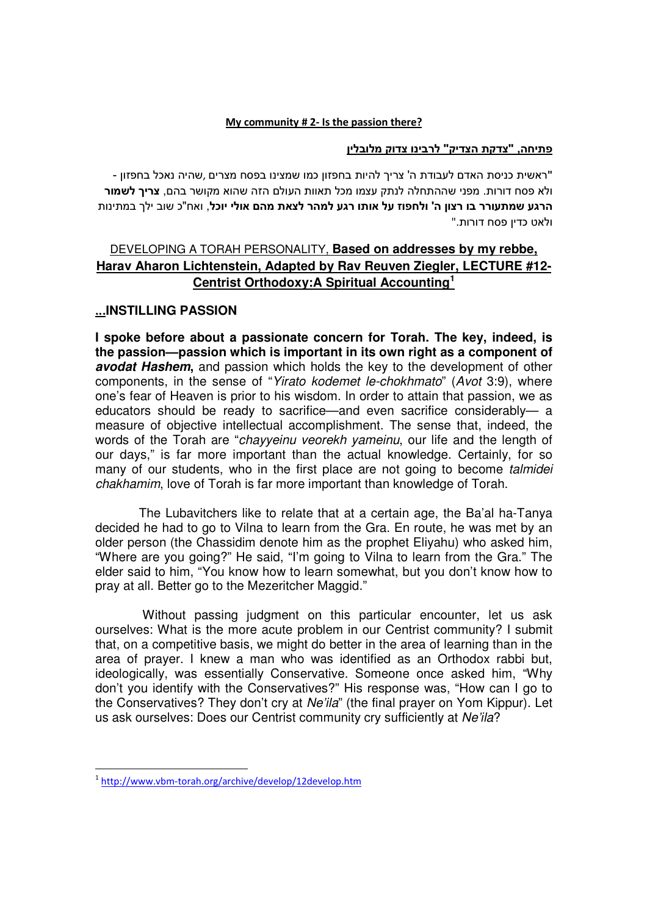## My community # 2- Is the passion there?

## פתיחה, "צדקת הצדיק" לרבינו צדוק מלובלין

"ראשית כניסת האדם לעבודת ה' צריך להיות בחפזון כמו שמצינו בפסח מצרים ,שהיה נאכל בחפזון - ולא פסח דורות. מפני שההתחלה לנתק עצמו מכל תאוות העולם הזה שהוא מקושר בהם, צריך לשמור הרגע שמתעורר בו רצון ה' ולחפוז על אותו רגע למהר לצאת מהם אולי יוכל, ואח"כ שוב ילך במתינות ולאט כדין פסח דורות."

## DEVELOPING A TORAH PERSONALITY, **Based on addresses by my rebbe, Harav Aharon Lichtenstein, Adapted by Rav Reuven Ziegler, LECTURE #12- Centrist Orthodoxy:A Spiritual Accounting<sup>1</sup>**

## ...**INSTILLING PASSION**

**I spoke before about a passionate concern for Torah. The key, indeed, is the passion—passion which is important in its own right as a component of avodat Hashem,** and passion which holds the key to the development of other components, in the sense of "Yirato kodemet le-chokhmato" (Avot 3:9), where one's fear of Heaven is prior to his wisdom. In order to attain that passion, we as educators should be ready to sacrifice—and even sacrifice considerably— a measure of objective intellectual accomplishment. The sense that, indeed, the words of the Torah are "chayyeinu veorekh yameinu, our life and the length of our days," is far more important than the actual knowledge. Certainly, for so many of our students, who in the first place are not going to become talmidei chakhamim, love of Torah is far more important than knowledge of Torah.

 The Lubavitchers like to relate that at a certain age, the Ba'al ha-Tanya decided he had to go to Vilna to learn from the Gra. En route, he was met by an older person (the Chassidim denote him as the prophet Eliyahu) who asked him, "Where are you going?" He said, "I'm going to Vilna to learn from the Gra." The elder said to him, "You know how to learn somewhat, but you don't know how to pray at all. Better go to the Mezeritcher Maggid."

 Without passing judgment on this particular encounter, let us ask ourselves: What is the more acute problem in our Centrist community? I submit that, on a competitive basis, we might do better in the area of learning than in the area of prayer. I knew a man who was identified as an Orthodox rabbi but, ideologically, was essentially Conservative. Someone once asked him, "Why don't you identify with the Conservatives?" His response was, "How can I go to the Conservatives? They don't cry at Ne'ila" (the final prayer on Yom Kippur). Let us ask ourselves: Does our Centrist community cry sufficiently at Ne'ila?

<u>.</u>

<sup>&</sup>lt;sup>1</sup>http://www.vbm-torah.org/archive/develop/12develop.htm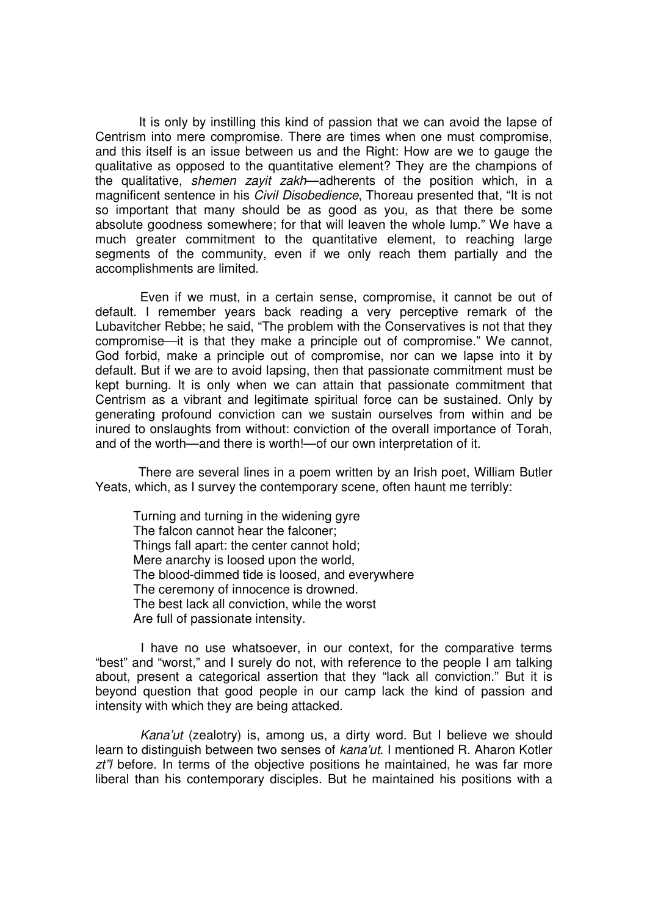It is only by instilling this kind of passion that we can avoid the lapse of Centrism into mere compromise. There are times when one must compromise, and this itself is an issue between us and the Right: How are we to gauge the qualitative as opposed to the quantitative element? They are the champions of the qualitative, shemen zayit zakh—adherents of the position which, in a magnificent sentence in his *Civil Disobedience*, Thoreau presented that, "It is not so important that many should be as good as you, as that there be some absolute goodness somewhere; for that will leaven the whole lump." We have a much greater commitment to the quantitative element, to reaching large segments of the community, even if we only reach them partially and the accomplishments are limited.

 Even if we must, in a certain sense, compromise, it cannot be out of default. I remember years back reading a very perceptive remark of the Lubavitcher Rebbe; he said, "The problem with the Conservatives is not that they compromise—it is that they make a principle out of compromise." We cannot, God forbid, make a principle out of compromise, nor can we lapse into it by default. But if we are to avoid lapsing, then that passionate commitment must be kept burning. It is only when we can attain that passionate commitment that Centrism as a vibrant and legitimate spiritual force can be sustained. Only by generating profound conviction can we sustain ourselves from within and be inured to onslaughts from without: conviction of the overall importance of Torah, and of the worth—and there is worth!—of our own interpretation of it.

 There are several lines in a poem written by an Irish poet, William Butler Yeats, which, as I survey the contemporary scene, often haunt me terribly:

Turning and turning in the widening gyre The falcon cannot hear the falconer; Things fall apart: the center cannot hold; Mere anarchy is loosed upon the world, The blood-dimmed tide is loosed, and everywhere The ceremony of innocence is drowned. The best lack all conviction, while the worst Are full of passionate intensity.

 I have no use whatsoever, in our context, for the comparative terms "best" and "worst," and I surely do not, with reference to the people I am talking about, present a categorical assertion that they "lack all conviction." But it is beyond question that good people in our camp lack the kind of passion and intensity with which they are being attacked.

 Kana'ut (zealotry) is, among us, a dirty word. But I believe we should learn to distinguish between two senses of kana'ut. I mentioned R. Aharon Kotler  $zt''$  before. In terms of the objective positions he maintained, he was far more liberal than his contemporary disciples. But he maintained his positions with a